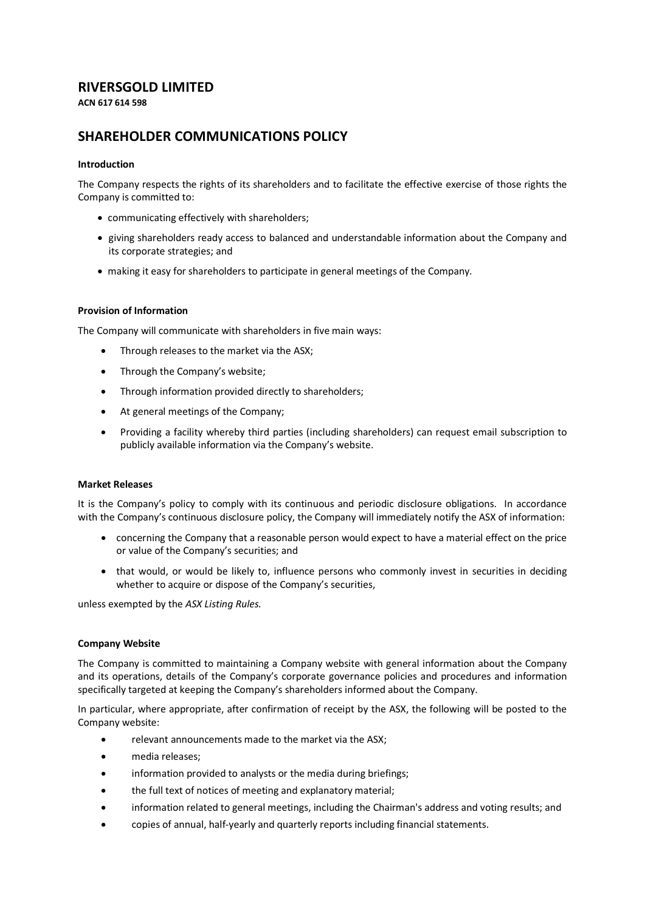## **RIVERSGOLD LIMITED**

**ACN 617 614 598**

# **SHAREHOLDER COMMUNICATIONS POLICY**

## **Introduction**

The Company respects the rights of its shareholders and to facilitate the effective exercise of those rights the Company is committed to:

- communicating effectively with shareholders;
- giving shareholders ready access to balanced and understandable information about the Company and its corporate strategies; and
- making it easy for shareholders to participate in general meetings of the Company.

## **Provision of Information**

The Company will communicate with shareholders in five main ways:

- Through releases to the market via the ASX;
- Through the Company's website;
- Through information provided directly to shareholders;
- At general meetings of the Company;
- Providing a facility whereby third parties (including shareholders) can request email subscription to publicly available information via the Company's website.

## **Market Releases**

It is the Company's policy to comply with its continuous and periodic disclosure obligations. In accordance with the Company's continuous disclosure policy, the Company will immediately notify the ASX of information:

- concerning the Company that a reasonable person would expect to have a material effect on the price or value of the Company's securities; and
- that would, or would be likely to, influence persons who commonly invest in securities in deciding whether to acquire or dispose of the Company's securities,

unless exempted by the *ASX Listing Rules.*

## **Company Website**

The Company is committed to maintaining a Company website with general information about the Company and its operations, details of the Company's corporate governance policies and procedures and information specifically targeted at keeping the Company's shareholders informed about the Company.

In particular, where appropriate, after confirmation of receipt by the ASX, the following will be posted to the Company website:

- relevant announcements made to the market via the ASX;
- media releases;
- information provided to analysts or the media during briefings;
- the full text of notices of meeting and explanatory material;
- information related to general meetings, including the Chairman's address and voting results; and
- copies of annual, half-yearly and quarterly reports including financial statements.